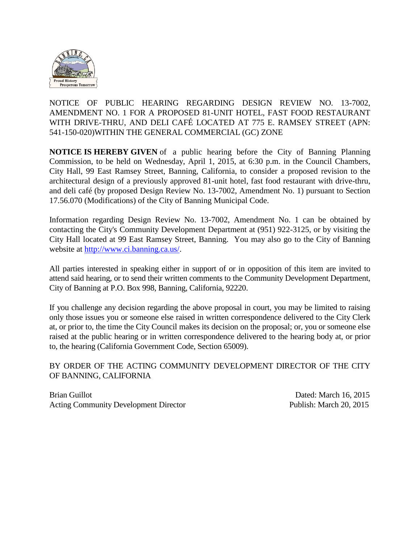

NOTICE OF PUBLIC HEARING REGARDING DESIGN REVIEW NO. 13-7002, AMENDMENT NO. 1 FOR A PROPOSED 81-UNIT HOTEL, FAST FOOD RESTAURANT WITH DRIVE-THRU, AND DELI CAFÉ LOCATED AT 775 E. RAMSEY STREET (APN: 541-150-020)WITHIN THE GENERAL COMMERCIAL (GC) ZONE

**NOTICE IS HEREBY GIVEN** of a public hearing before the City of Banning Planning Commission, to be held on Wednesday, April 1, 2015, at 6:30 p.m. in the Council Chambers, City Hall, 99 East Ramsey Street, Banning, California, to consider a proposed revision to the architectural design of a previously approved 81-unit hotel, fast food restaurant with drive-thru, and deli café (by proposed Design Review No. 13-7002, Amendment No. 1) pursuant to Section 17.56.070 (Modifications) of the City of Banning Municipal Code.

Information regarding Design Review No. 13-7002, Amendment No. 1 can be obtained by contacting the City's Community Development Department at (951) 922-3125, or by visiting the City Hall located at 99 East Ramsey Street, Banning. You may also go to the City of Banning website at [http://www.ci.banning.ca.us/.](http://www.ci.banning.ca.us/)

All parties interested in speaking either in support of or in opposition of this item are invited to attend said hearing, or to send their written comments to the Community Development Department, City of Banning at P.O. Box 998, Banning, California, 92220.

If you challenge any decision regarding the above proposal in court, you may be limited to raising only those issues you or someone else raised in written correspondence delivered to the City Clerk at, or prior to, the time the City Council makes its decision on the proposal; or, you or someone else raised at the public hearing or in written correspondence delivered to the hearing body at, or prior to, the hearing (California Government Code, Section 65009).

## BY ORDER OF THE ACTING COMMUNITY DEVELOPMENT DIRECTOR OF THE CITY OF BANNING, CALIFORNIA

Brian Guillot **Dated: March 16, 2015** Acting Community Development Director Publish: March 20, 2015